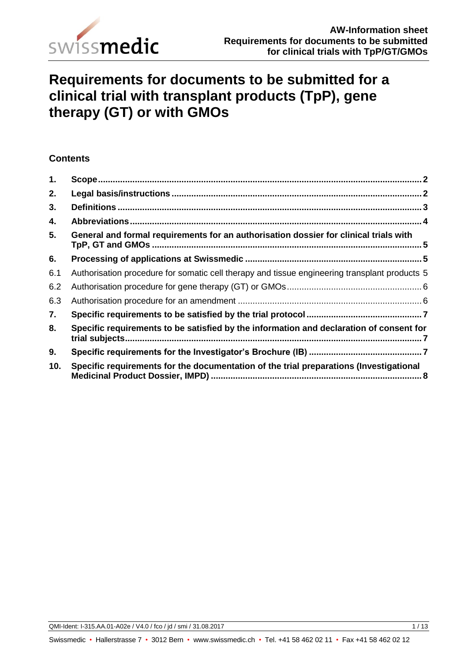

# **Requirements for documents to be submitted for a clinical trial with transplant products (TpP), gene therapy (GT) or with GMOs**

# **Contents**

| 1.  |                                                                                               | $\overline{2}$ |
|-----|-----------------------------------------------------------------------------------------------|----------------|
| 2.  |                                                                                               |                |
| 3.  |                                                                                               |                |
| 4.  |                                                                                               |                |
| 5.  | General and formal requirements for an authorisation dossier for clinical trials with         |                |
| 6.  |                                                                                               |                |
| 6.1 | Authorisation procedure for somatic cell therapy and tissue engineering transplant products 5 |                |
| 6.2 |                                                                                               |                |
| 6.3 |                                                                                               |                |
| 7.  |                                                                                               |                |
| 8.  | Specific requirements to be satisfied by the information and declaration of consent for       |                |
| 9.  |                                                                                               |                |
| 10. | Specific requirements for the documentation of the trial preparations (Investigational        |                |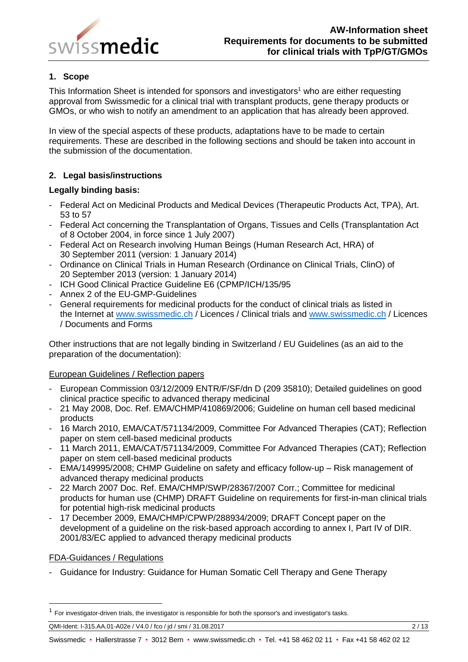

# <span id="page-1-0"></span>**1. Scope**

This Information Sheet is intended for sponsors and investigators<sup>1</sup> who are either requesting approval from Swissmedic for a clinical trial with transplant products, gene therapy products or GMOs, or who wish to notify an amendment to an application that has already been approved.

In view of the special aspects of these products, adaptations have to be made to certain requirements. These are described in the following sections and should be taken into account in the submission of the documentation.

# <span id="page-1-1"></span>**2. Legal basis/instructions**

## **Legally binding basis:**

- Federal Act on Medicinal Products and Medical Devices (Therapeutic Products Act, TPA), Art. 53 to 57
- Federal Act concerning the Transplantation of Organs, Tissues and Cells (Transplantation Act of 8 October 2004, in force since 1 July 2007)
- Federal Act on Research involving Human Beings (Human Research Act, HRA) of 30 September 2011 (version: 1 January 2014)
- Ordinance on Clinical Trials in Human Research (Ordinance on Clinical Trials, ClinO) of 20 September 2013 (version: 1 January 2014)
- ICH Good Clinical Practice Guideline E6 (CPMP/ICH/135/95
- Annex 2 of the EU-GMP-Guidelines
- General requirements for medicinal products for the conduct of clinical trials as listed in the Internet at [www.swissmedic.ch](http://www.swissmedic.ch/) / Licences / Clinical trials and [www.swissmedic.ch](http://www.swissmedic.ch/) / Licences / Documents and Forms

Other instructions that are not legally binding in Switzerland / EU Guidelines (as an aid to the preparation of the documentation):

## European Guidelines / Reflection papers

- European Commission 03/12/2009 ENTR/F/SF/dn D (209 35810); Detailed guidelines on good clinical practice specific to advanced therapy medicinal
- 21 May 2008, Doc. Ref. EMA/CHMP/410869/2006; Guideline on human cell based medicinal products
- 16 March 2010, EMA/CAT/571134/2009, Committee For Advanced Therapies (CAT); Reflection paper on stem cell-based medicinal products
- 11 March 2011, EMA/CAT/571134/2009, Committee For Advanced Therapies (CAT); Reflection paper on stem cell-based medicinal products
- EMA/149995/2008; CHMP Guideline on safety and efficacy follow-up Risk management of advanced therapy medicinal products
- 22 March 2007 Doc. Ref. EMA/CHMP/SWP/28367/2007 Corr.; Committee for medicinal products for human use (CHMP) DRAFT Guideline on requirements for first-in-man clinical trials for potential high-risk medicinal products
- 17 December 2009, EMA/CHMP/CPWP/288934/2009; DRAFT Concept paper on the development of a guideline on the risk-based approach according to annex I, Part IV of DIR. 2001/83/EC applied to advanced therapy medicinal products

## FDA-Guidances / Regulations

 $\overline{a}$ 

- Guidance for Industry: Guidance for Human Somatic Cell Therapy and Gene Therapy

<sup>&</sup>lt;sup>1</sup> For investigator-driven trials, the investigator is responsible for both the sponsor's and investigator's tasks.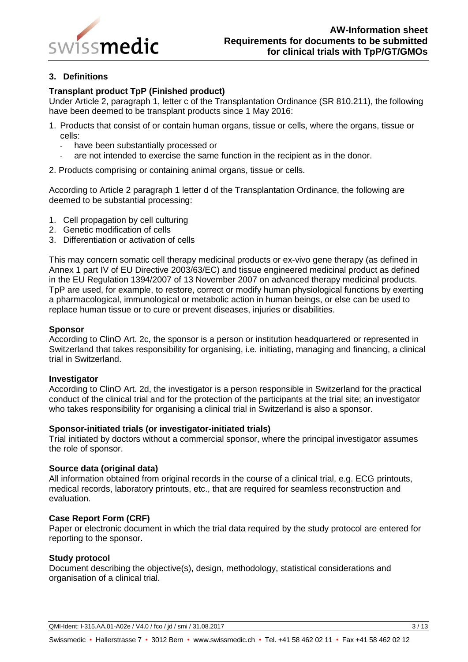

# <span id="page-2-0"></span>**3. Definitions**

## **Transplant product TpP (Finished product)**

Under Article 2, paragraph 1, letter c of the Transplantation Ordinance (SR 810.211), the following have been deemed to be transplant products since 1 May 2016:

- 1. Products that consist of or contain human organs, tissue or cells, where the organs, tissue or cells:
	- have been substantially processed or
	- are not intended to exercise the same function in the recipient as in the donor.
- 2. Products comprising or containing animal organs, tissue or cells.

According to Article 2 paragraph 1 letter d of the Transplantation Ordinance, the following are deemed to be substantial processing:

- 1. Cell propagation by cell culturing
- 2. Genetic modification of cells
- 3. Differentiation or activation of cells

This may concern somatic cell therapy medicinal products or ex-vivo gene therapy (as defined in Annex 1 part IV of EU Directive 2003/63/EC) and tissue engineered medicinal product as defined in the EU Regulation 1394/2007 of 13 November 2007 on advanced therapy medicinal products. TpP are used, for example, to restore, correct or modify human physiological functions by exerting a pharmacological, immunological or metabolic action in human beings, or else can be used to replace human tissue or to cure or prevent diseases, injuries or disabilities.

#### **Sponsor**

According to ClinO Art. 2c, the sponsor is a person or institution headquartered or represented in Switzerland that takes responsibility for organising, i.e. initiating, managing and financing, a clinical trial in Switzerland.

#### **Investigator**

According to ClinO Art. 2d, the investigator is a person responsible in Switzerland for the practical conduct of the clinical trial and for the protection of the participants at the trial site; an investigator who takes responsibility for organising a clinical trial in Switzerland is also a sponsor.

#### **Sponsor-initiated trials (or investigator-initiated trials)**

Trial initiated by doctors without a commercial sponsor, where the principal investigator assumes the role of sponsor.

#### **Source data (original data)**

All information obtained from original records in the course of a clinical trial, e.g. ECG printouts, medical records, laboratory printouts, etc., that are required for seamless reconstruction and evaluation.

#### **Case Report Form (CRF)**

Paper or electronic document in which the trial data required by the study protocol are entered for reporting to the sponsor.

#### **Study protocol**

Document describing the objective(s), design, methodology, statistical considerations and organisation of a clinical trial.

QMI-Ident: I-315.AA.01-A02e / V4.0 / fco / jd / smi / 31.08.2017 3 / 3 / 13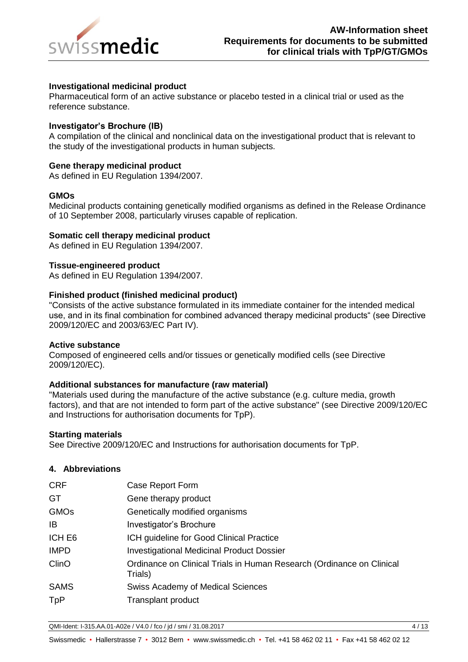

## **Investigational medicinal product**

Pharmaceutical form of an active substance or placebo tested in a clinical trial or used as the reference substance.

#### **Investigator's Brochure (IB)**

A compilation of the clinical and nonclinical data on the investigational product that is relevant to the study of the investigational products in human subjects.

#### **Gene therapy medicinal product**

As defined in EU Regulation 1394/2007.

#### **GMOs**

Medicinal products containing genetically modified organisms as defined in the Release Ordinance of 10 September 2008, particularly viruses capable of replication.

#### **Somatic cell therapy medicinal product**

As defined in EU Regulation 1394/2007.

#### **Tissue-engineered product**

As defined in EU Regulation 1394/2007.

#### **Finished product (finished medicinal product)**

"Consists of the active substance formulated in its immediate container for the intended medical use, and in its final combination for combined advanced therapy medicinal products" (see Directive 2009/120/EC and 2003/63/EC Part IV).

#### **Active substance**

Composed of engineered cells and/or tissues or genetically modified cells (see Directive 2009/120/EC).

#### **Additional substances for manufacture (raw material)**

"Materials used during the manufacture of the active substance (e.g. culture media, growth factors), and that are not intended to form part of the active substance" (see Directive 2009/120/EC and Instructions for authorisation documents for TpP).

#### **Starting materials**

See Directive 2009/120/EC and Instructions for authorisation documents for TpP.

## <span id="page-3-0"></span>**4. Abbreviations**

| <b>CRF</b>  | Case Report Form                                                                 |
|-------------|----------------------------------------------------------------------------------|
| <b>GT</b>   | Gene therapy product                                                             |
| <b>GMOs</b> | Genetically modified organisms                                                   |
| IB          | Investigator's Brochure                                                          |
| ICH E6      | ICH guideline for Good Clinical Practice                                         |
| <b>IMPD</b> | <b>Investigational Medicinal Product Dossier</b>                                 |
| ClinO       | Ordinance on Clinical Trials in Human Research (Ordinance on Clinical<br>Trials) |
| <b>SAMS</b> | Swiss Academy of Medical Sciences                                                |
| <b>TpP</b>  | <b>Transplant product</b>                                                        |
|             |                                                                                  |

QMI-Ident: I-315.AA.01-A02e / V4.0 / fco / jd / smi / 31.08.2017 4 / 13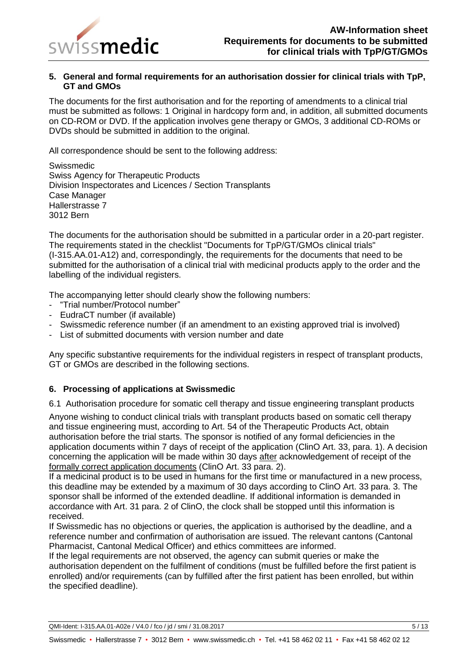

## <span id="page-4-0"></span>**5. General and formal requirements for an authorisation dossier for clinical trials with TpP, GT and GMOs**

The documents for the first authorisation and for the reporting of amendments to a clinical trial must be submitted as follows: 1 Original in hardcopy form and, in addition, all submitted documents on CD-ROM or DVD. If the application involves gene therapy or GMOs, 3 additional CD-ROMs or DVDs should be submitted in addition to the original.

All correspondence should be sent to the following address:

Swissmedic Swiss Agency for Therapeutic Products Division Inspectorates and Licences / Section Transplants Case Manager Hallerstrasse 7 3012 Bern

The documents for the authorisation should be submitted in a particular order in a 20-part register. The requirements stated in the checklist "Documents for TpP/GT/GMOs clinical trials" (I-315.AA.01-A12) and, correspondingly, the requirements for the documents that need to be submitted for the authorisation of a clinical trial with medicinal products apply to the order and the labelling of the individual registers.

The accompanying letter should clearly show the following numbers:

- "Trial number/Protocol number"
- EudraCT number (if available)
- Swissmedic reference number (if an amendment to an existing approved trial is involved)
- List of submitted documents with version number and date

Any specific substantive requirements for the individual registers in respect of transplant products, GT or GMOs are described in the following sections.

## <span id="page-4-1"></span>**6. Processing of applications at Swissmedic**

<span id="page-4-2"></span>6.1 Authorisation procedure for somatic cell therapy and tissue engineering transplant products

Anyone wishing to conduct clinical trials with transplant products based on somatic cell therapy and tissue engineering must, according to Art. 54 of the Therapeutic Products Act, obtain authorisation before the trial starts. The sponsor is notified of any formal deficiencies in the application documents within 7 days of receipt of the application (ClinO Art. 33, para. 1). A decision concerning the application will be made within 30 days after acknowledgement of receipt of the formally correct application documents (ClinO Art. 33 para. 2).

If a medicinal product is to be used in humans for the first time or manufactured in a new process, this deadline may be extended by a maximum of 30 days according to ClinO Art. 33 para. 3. The sponsor shall be informed of the extended deadline. If additional information is demanded in accordance with Art. 31 para. 2 of ClinO, the clock shall be stopped until this information is received.

If Swissmedic has no objections or queries, the application is authorised by the deadline, and a reference number and confirmation of authorisation are issued. The relevant cantons (Cantonal Pharmacist, Cantonal Medical Officer) and ethics committees are informed.

If the legal requirements are not observed, the agency can submit queries or make the authorisation dependent on the fulfilment of conditions (must be fulfilled before the first patient is enrolled) and/or requirements (can by fulfilled after the first patient has been enrolled, but within the specified deadline).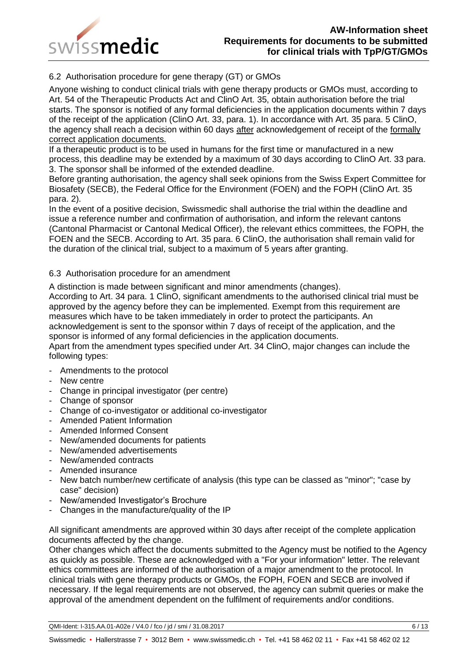

# <span id="page-5-0"></span>6.2 Authorisation procedure for gene therapy (GT) or GMOs

Anyone wishing to conduct clinical trials with gene therapy products or GMOs must, according to Art. 54 of the Therapeutic Products Act and ClinO Art. 35, obtain authorisation before the trial starts. The sponsor is notified of any formal deficiencies in the application documents within 7 days of the receipt of the application (ClinO Art. 33, para. 1). In accordance with Art. 35 para. 5 ClinO, the agency shall reach a decision within 60 days after acknowledgement of receipt of the formally correct application documents.

If a therapeutic product is to be used in humans for the first time or manufactured in a new process, this deadline may be extended by a maximum of 30 days according to ClinO Art. 33 para. 3. The sponsor shall be informed of the extended deadline.

Before granting authorisation, the agency shall seek opinions from the Swiss Expert Committee for Biosafety (SECB), the Federal Office for the Environment (FOEN) and the FOPH (ClinO Art. 35 para. 2).

In the event of a positive decision, Swissmedic shall authorise the trial within the deadline and issue a reference number and confirmation of authorisation, and inform the relevant cantons (Cantonal Pharmacist or Cantonal Medical Officer), the relevant ethics committees, the FOPH, the FOEN and the SECB. According to Art. 35 para. 6 ClinO, the authorisation shall remain valid for the duration of the clinical trial, subject to a maximum of 5 years after granting.

## <span id="page-5-1"></span>6.3 Authorisation procedure for an amendment

A distinction is made between significant and minor amendments (changes).

According to Art. 34 para. 1 ClinO, significant amendments to the authorised clinical trial must be approved by the agency before they can be implemented. Exempt from this requirement are measures which have to be taken immediately in order to protect the participants. An acknowledgement is sent to the sponsor within 7 days of receipt of the application, and the sponsor is informed of any formal deficiencies in the application documents.

Apart from the amendment types specified under Art. 34 ClinO, major changes can include the following types:

- Amendments to the protocol
- New centre
- Change in principal investigator (per centre)
- Change of sponsor
- Change of co-investigator or additional co-investigator
- Amended Patient Information
- Amended Informed Consent
- New/amended documents for patients
- New/amended advertisements
- New/amended contracts
- Amended insurance
- New batch number/new certificate of analysis (this type can be classed as "minor"; "case by case" decision)
- New/amended Investigator's Brochure
- Changes in the manufacture/quality of the IP

All significant amendments are approved within 30 days after receipt of the complete application documents affected by the change.

Other changes which affect the documents submitted to the Agency must be notified to the Agency as quickly as possible. These are acknowledged with a "For your information" letter. The relevant ethics committees are informed of the authorisation of a major amendment to the protocol. In clinical trials with gene therapy products or GMOs, the FOPH, FOEN and SECB are involved if necessary. If the legal requirements are not observed, the agency can submit queries or make the approval of the amendment dependent on the fulfilment of requirements and/or conditions.

QMI-Ident: I-315.AA.01-A02e / V4.0 / fco / jd / smi / 31.08.2017 6 / 13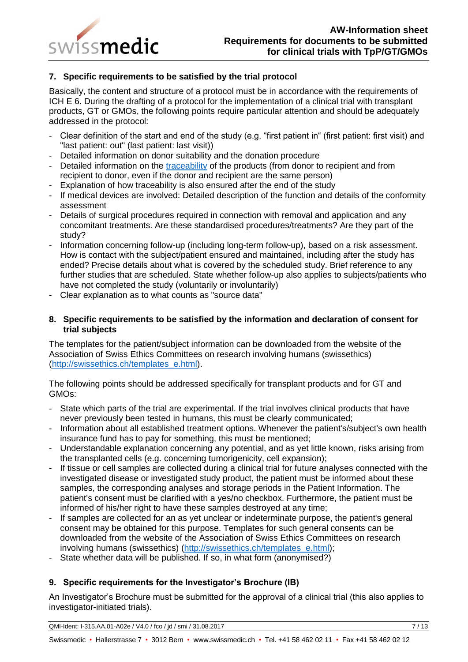

# <span id="page-6-0"></span>**7. Specific requirements to be satisfied by the trial protocol**

Basically, the content and structure of a protocol must be in accordance with the requirements of ICH E 6. During the drafting of a protocol for the implementation of a clinical trial with transplant products, GT or GMOs, the following points require particular attention and should be adequately addressed in the protocol:

- Clear definition of the start and end of the study (e.g. "first patient in" (first patient: first visit) and "last patient: out" (last patient: last visit))
- Detailed information on donor suitability and the donation procedure
- Detailed information on the [traceability](http://dict.leo.org/ende/index_de.html#/search=traceability&searchLoc=0&resultOrder=basic&multiwordShowSingle=on) of the products (from donor to recipient and from recipient to donor, even if the donor and recipient are the same person)
- Explanation of how traceability is also ensured after the end of the study
- If medical devices are involved: Detailed description of the function and details of the conformity assessment
- Details of surgical procedures required in connection with removal and application and any concomitant treatments. Are these standardised procedures/treatments? Are they part of the study?
- Information concerning follow-up (including long-term follow-up), based on a risk assessment. How is contact with the subject/patient ensured and maintained, including after the study has ended? Precise details about what is covered by the scheduled study. Brief reference to any further studies that are scheduled. State whether follow-up also applies to subjects/patients who have not completed the study (voluntarily or involuntarily)
- Clear explanation as to what counts as "source data"

## <span id="page-6-1"></span>**8. Specific requirements to be satisfied by the information and declaration of consent for trial subjects**

The templates for the patient/subject information can be downloaded from the website of the Association of Swiss Ethics Committees on research involving humans (swissethics) [\(http://swissethics.ch/templates\\_e.html\)](http://swissethics.ch/templates_e.html).

The following points should be addressed specifically for transplant products and for GT and GMOs:

- State which parts of the trial are experimental. If the trial involves clinical products that have never previously been tested in humans, this must be clearly communicated;
- Information about all established treatment options. Whenever the patient's/subject's own health insurance fund has to pay for something, this must be mentioned;
- Understandable explanation concerning any potential, and as yet little known, risks arising from the transplanted cells (e.g. concerning tumorigenicity, cell expansion);
- If tissue or cell samples are collected during a clinical trial for future analyses connected with the investigated disease or investigated study product, the patient must be informed about these samples, the corresponding analyses and storage periods in the Patient Information. The patient's consent must be clarified with a yes/no checkbox. Furthermore, the patient must be informed of his/her right to have these samples destroyed at any time;
- If samples are collected for an as yet unclear or indeterminate purpose, the patient's general consent may be obtained for this purpose. Templates for such general consents can be downloaded from the website of the Association of Swiss Ethics Committees on research involving humans (swissethics) [\(http://swissethics.ch/templates\\_e.html\)](http://swissethics.ch/templates_e.html);
- State whether data will be published. If so, in what form (anonymised?)

# <span id="page-6-2"></span>**9. Specific requirements for the Investigator's Brochure (IB)**

An Investigator's Brochure must be submitted for the approval of a clinical trial (this also applies to investigator-initiated trials).

QMI-Ident: I-315.AA.01-A02e / V4.0 / fco / jd / smi / 31.08.2017 7 / 13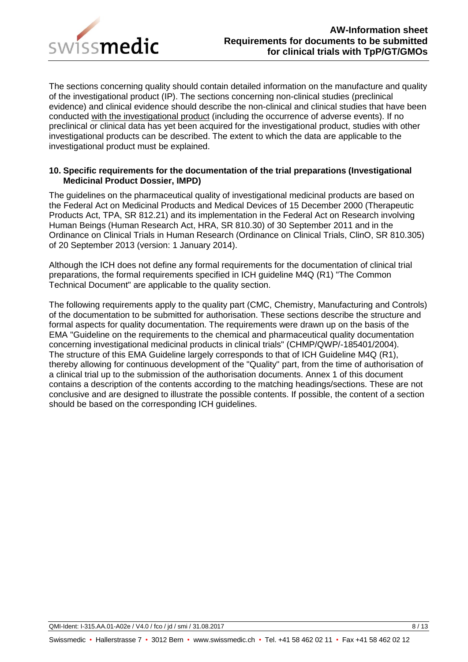

The sections concerning quality should contain detailed information on the manufacture and quality of the investigational product (IP). The sections concerning non-clinical studies (preclinical evidence) and clinical evidence should describe the non-clinical and clinical studies that have been conducted with the investigational product (including the occurrence of adverse events). If no preclinical or clinical data has yet been acquired for the investigational product, studies with other investigational products can be described. The extent to which the data are applicable to the investigational product must be explained.

## <span id="page-7-0"></span>**10. Specific requirements for the documentation of the trial preparations (Investigational Medicinal Product Dossier, IMPD)**

The guidelines on the pharmaceutical quality of investigational medicinal products are based on the Federal Act on Medicinal Products and Medical Devices of 15 December 2000 (Therapeutic Products Act, TPA, SR 812.21) and its implementation in the Federal Act on Research involving Human Beings (Human Research Act, HRA, SR 810.30) of 30 September 2011 and in the Ordinance on Clinical Trials in Human Research (Ordinance on Clinical Trials, ClinO, SR 810.305) of 20 September 2013 (version: 1 January 2014).

Although the ICH does not define any formal requirements for the documentation of clinical trial preparations, the formal requirements specified in ICH guideline M4Q (R1) "The Common Technical Document" are applicable to the quality section.

The following requirements apply to the quality part (CMC, Chemistry, Manufacturing and Controls) of the documentation to be submitted for authorisation. These sections describe the structure and formal aspects for quality documentation. The requirements were drawn up on the basis of the EMA "Guideline on the requirements to the chemical and pharmaceutical quality documentation concerning investigational medicinal products in clinical trials" (CHMP/QWP/-185401/2004). The structure of this EMA Guideline largely corresponds to that of ICH Guideline M4Q (R1), thereby allowing for continuous development of the "Quality" part, from the time of authorisation of a clinical trial up to the submission of the authorisation documents. Annex 1 of this document contains a description of the contents according to the matching headings/sections. These are not conclusive and are designed to illustrate the possible contents. If possible, the content of a section should be based on the corresponding ICH guidelines.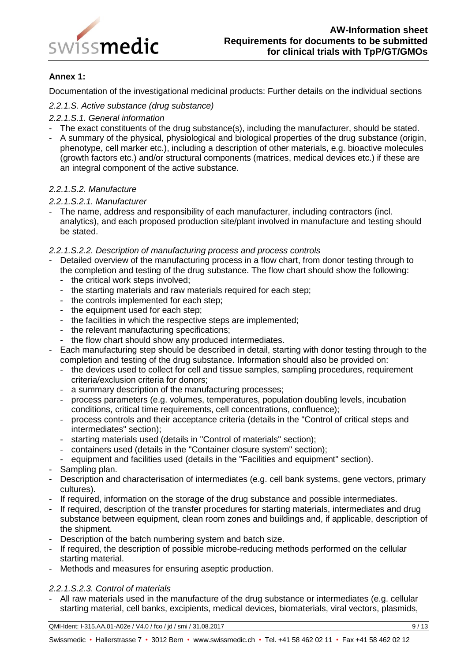

# **Annex 1:**

Documentation of the investigational medicinal products: Further details on the individual sections

## *2.2.1.S. Active substance (drug substance)*

## *2.2.1.S.1. General information*

- The exact constituents of the drug substance(s), including the manufacturer, should be stated.
- A summary of the physical, physiological and biological properties of the drug substance (origin, phenotype, cell marker etc.), including a description of other materials, e.g. bioactive molecules (growth factors etc.) and/or structural components (matrices, medical devices etc.) if these are an integral component of the active substance.

## *2.2.1.S.2. Manufacture*

#### *2.2.1.S.2.1. Manufacturer*

- The name, address and responsibility of each manufacturer, including contractors (incl. analytics), and each proposed production site/plant involved in manufacture and testing should be stated.

## *2.2.1.S.2.2. Description of manufacturing process and process controls*

- Detailed overview of the manufacturing process in a flow chart, from donor testing through to the completion and testing of the drug substance. The flow chart should show the following:
	- the critical work steps involved;
	- the starting materials and raw materials required for each step;
	- the controls implemented for each step;
	- the equipment used for each step;
	- the facilities in which the respective steps are implemented;
	- the relevant manufacturing specifications;
	- the flow chart should show any produced intermediates.
- Each manufacturing step should be described in detail, starting with donor testing through to the completion and testing of the drug substance. Information should also be provided on:
	- the devices used to collect for cell and tissue samples, sampling procedures, requirement criteria/exclusion criteria for donors;
	- a summary description of the manufacturing processes;
	- process parameters (e.g. volumes, temperatures, population doubling levels, incubation conditions, critical time requirements, cell concentrations, confluence);
	- process controls and their acceptance criteria (details in the "Control of critical steps and intermediates" section);
	- starting materials used (details in "Control of materials" section);
	- containers used (details in the "Container closure system" section);
	- equipment and facilities used (details in the "Facilities and equipment" section).
- Sampling plan.
- Description and characterisation of intermediates (e.g. cell bank systems, gene vectors, primary cultures).
- If required, information on the storage of the drug substance and possible intermediates.
- If required, description of the transfer procedures for starting materials, intermediates and drug substance between equipment, clean room zones and buildings and, if applicable, description of the shipment.
- Description of the batch numbering system and batch size.
- If required, the description of possible microbe-reducing methods performed on the cellular starting material.
- Methods and measures for ensuring aseptic production.

#### *2.2.1.S.2.3. Control of materials*

All raw materials used in the manufacture of the drug substance or intermediates (e.g. cellular starting material, cell banks, excipients, medical devices, biomaterials, viral vectors, plasmids,

QMI-Ident: I-315.AA.01-A02e / V4.0 / fco / jd / smi / 31.08.2017 9 / 13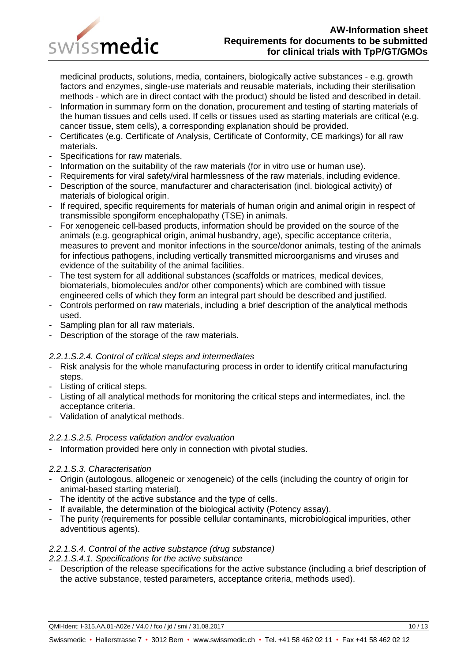

medicinal products, solutions, media, containers, biologically active substances - e.g. growth factors and enzymes, single-use materials and reusable materials, including their sterilisation methods - which are in direct contact with the product) should be listed and described in detail.

- Information in summary form on the donation, procurement and testing of starting materials of the human tissues and cells used. If cells or tissues used as starting materials are critical (e.g. cancer tissue, stem cells), a corresponding explanation should be provided.
- Certificates (e.g. Certificate of Analysis, Certificate of Conformity, CE markings) for all raw materials.
- Specifications for raw materials.
- Information on the suitability of the raw materials (for in vitro use or human use).
- Requirements for viral safety/viral harmlessness of the raw materials, including evidence.
- Description of the source, manufacturer and characterisation (incl. biological activity) of materials of biological origin.
- If required, specific requirements for materials of human origin and animal origin in respect of transmissible spongiform encephalopathy (TSE) in animals.
- For xenogeneic cell-based products, information should be provided on the source of the animals (e.g. geographical origin, animal husbandry, age), specific acceptance criteria, measures to prevent and monitor infections in the source/donor animals, testing of the animals for infectious pathogens, including vertically transmitted microorganisms and viruses and evidence of the suitability of the animal facilities.
- The test system for all additional substances (scaffolds or matrices, medical devices, biomaterials, biomolecules and/or other components) which are combined with tissue engineered cells of which they form an integral part should be described and justified.
- Controls performed on raw materials, including a brief description of the analytical methods used.
- Sampling plan for all raw materials.
- Description of the storage of the raw materials.

# *2.2.1.S.2.4. Control of critical steps and intermediates*

- Risk analysis for the whole manufacturing process in order to identify critical manufacturing steps.
- Listing of critical steps.
- Listing of all analytical methods for monitoring the critical steps and intermediates, incl. the acceptance criteria.
- Validation of analytical methods.

## *2.2.1.S.2.5. Process validation and/or evaluation*

- Information provided here only in connection with pivotal studies.

## *2.2.1.S.3. Characterisation*

- Origin (autologous, allogeneic or xenogeneic) of the cells (including the country of origin for animal-based starting material).
- The identity of the active substance and the type of cells.
- If available, the determination of the biological activity (Potency assay).
- The purity (requirements for possible cellular contaminants, microbiological impurities, other adventitious agents).

## *2.2.1.S.4. Control of the active substance (drug substance)*

## *2.2.1.S.4.1. Specifications for the active substance*

Description of the release specifications for the active substance (including a brief description of the active substance, tested parameters, acceptance criteria, methods used).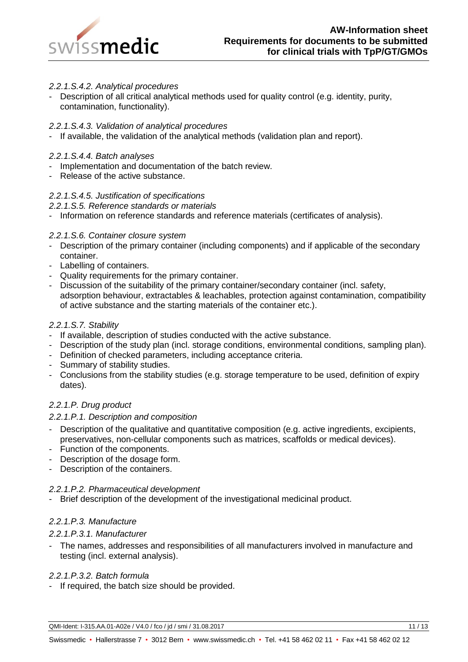

## *2.2.1.S.4.2. Analytical procedures*

Description of all critical analytical methods used for quality control (e.g. identity, purity, contamination, functionality).

## *2.2.1.S.4.3. Validation of analytical procedures*

- If available, the validation of the analytical methods (validation plan and report).

## *2.2.1.S.4.4. Batch analyses*

- Implementation and documentation of the batch review.
- Release of the active substance.

# *2.2.1.S.4.5. Justification of specifications*

## *2.2.1.S.5. Reference standards or materials*

- Information on reference standards and reference materials (certificates of analysis).

## *2.2.1.S.6. Container closure system*

- Description of the primary container (including components) and if applicable of the secondary container.
- Labelling of containers.
- Quality requirements for the primary container.
- Discussion of the suitability of the primary container/secondary container (incl. safety, adsorption behaviour, extractables & leachables, protection against contamination, compatibility of active substance and the starting materials of the container etc.).

## *2.2.1.S.7. Stability*

- If available, description of studies conducted with the active substance.
- Description of the study plan (incl. storage conditions, environmental conditions, sampling plan).
- Definition of checked parameters, including acceptance criteria.
- Summary of stability studies.
- Conclusions from the stability studies (e.g. storage temperature to be used, definition of expiry dates).

## *2.2.1.P. Drug product*

## *2.2.1.P.1. Description and composition*

- Description of the qualitative and quantitative composition (e.g. active ingredients, excipients, preservatives, non-cellular components such as matrices, scaffolds or medical devices).
- Function of the components.
- Description of the dosage form.
- Description of the containers.

## *2.2.1.P.2. Pharmaceutical development*

Brief description of the development of the investigational medicinal product.

## *2.2.1.P.3. Manufacture*

## *2.2.1.P.3.1. Manufacturer*

The names, addresses and responsibilities of all manufacturers involved in manufacture and testing (incl. external analysis).

## *2.2.1.P.3.2. Batch formula*

- If required, the batch size should be provided.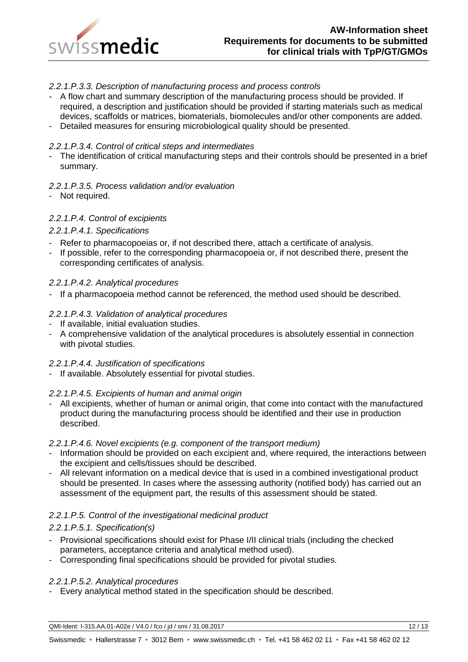

## *2.2.1.P.3.3. Description of manufacturing process and process controls*

- A flow chart and summary description of the manufacturing process should be provided. If required, a description and justification should be provided if starting materials such as medical devices, scaffolds or matrices, biomaterials, biomolecules and/or other components are added.
- Detailed measures for ensuring microbiological quality should be presented.

#### *2.2.1.P.3.4. Control of critical steps and intermediates*

- The identification of critical manufacturing steps and their controls should be presented in a brief summary.

#### *2.2.1.P.3.5. Process validation and/or evaluation*

- Not required.

#### *2.2.1.P.4. Control of excipients*

#### *2.2.1.P.4.1. Specifications*

- Refer to pharmacopoeias or, if not described there, attach a certificate of analysis.
- If possible, refer to the corresponding pharmacopoeia or, if not described there, present the corresponding certificates of analysis.

#### *2.2.1.P.4.2. Analytical procedures*

- If a pharmacopoeia method cannot be referenced, the method used should be described.

#### *2.2.1.P.4.3. Validation of analytical procedures*

- If available, initial evaluation studies.
- A comprehensive validation of the analytical procedures is absolutely essential in connection with pivotal studies.

#### *2.2.1.P.4.4. Justification of specifications*

- If available. Absolutely essential for pivotal studies.

#### *2.2.1.P.4.5. Excipients of human and animal origin*

- All excipients, whether of human or animal origin, that come into contact with the manufactured product during the manufacturing process should be identified and their use in production described.

#### *2.2.1.P.4.6. Novel excipients (e.g. component of the transport medium)*

- Information should be provided on each excipient and, where required, the interactions between the excipient and cells/tissues should be described.
- All relevant information on a medical device that is used in a combined investigational product should be presented. In cases where the assessing authority (notified body) has carried out an assessment of the equipment part, the results of this assessment should be stated.

#### *2.2.1.P.5. Control of the investigational medicinal product*

#### *2.2.1.P.5.1. Specification(s)*

- Provisional specifications should exist for Phase I/II clinical trials (including the checked parameters, acceptance criteria and analytical method used).
- Corresponding final specifications should be provided for pivotal studies.

#### *2.2.1.P.5.2. Analytical procedures*

- Every analytical method stated in the specification should be described.